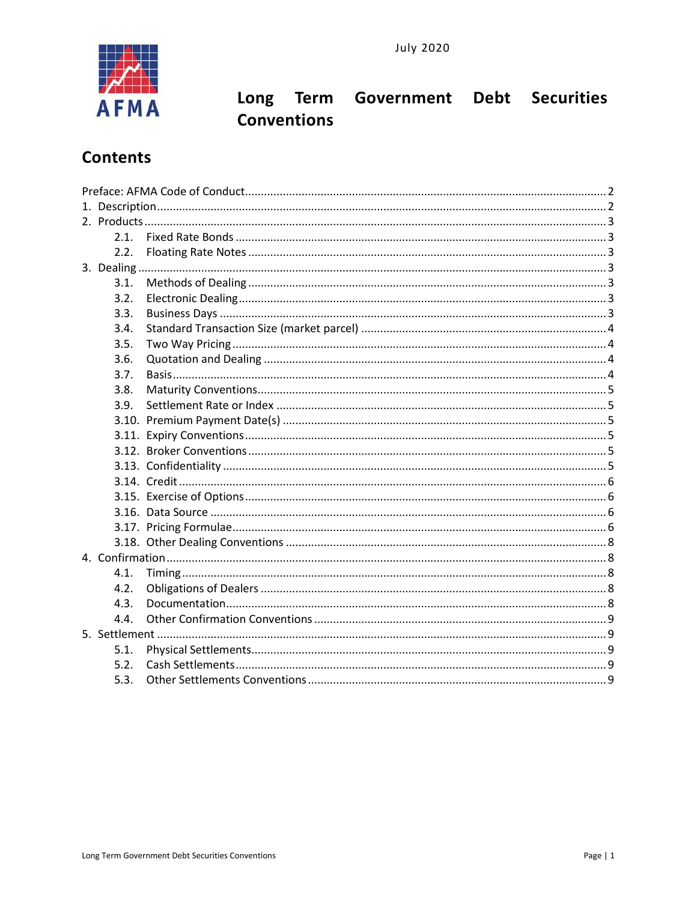

# Long Term Government Debt Securities **Conventions**

# **Contents**

|  | 2.1. |  |  |  |
|--|------|--|--|--|
|  | 2.2. |  |  |  |
|  |      |  |  |  |
|  | 3.1. |  |  |  |
|  | 3.2. |  |  |  |
|  | 3.3. |  |  |  |
|  | 3.4. |  |  |  |
|  | 3.5. |  |  |  |
|  | 3.6. |  |  |  |
|  | 3.7. |  |  |  |
|  | 3.8. |  |  |  |
|  | 3.9. |  |  |  |
|  |      |  |  |  |
|  |      |  |  |  |
|  |      |  |  |  |
|  |      |  |  |  |
|  |      |  |  |  |
|  |      |  |  |  |
|  |      |  |  |  |
|  |      |  |  |  |
|  |      |  |  |  |
|  |      |  |  |  |
|  | 4.1. |  |  |  |
|  | 4.2. |  |  |  |
|  | 4.3. |  |  |  |
|  | 4.4. |  |  |  |
|  |      |  |  |  |
|  | 5.1. |  |  |  |
|  | 5.2. |  |  |  |
|  | 5.3. |  |  |  |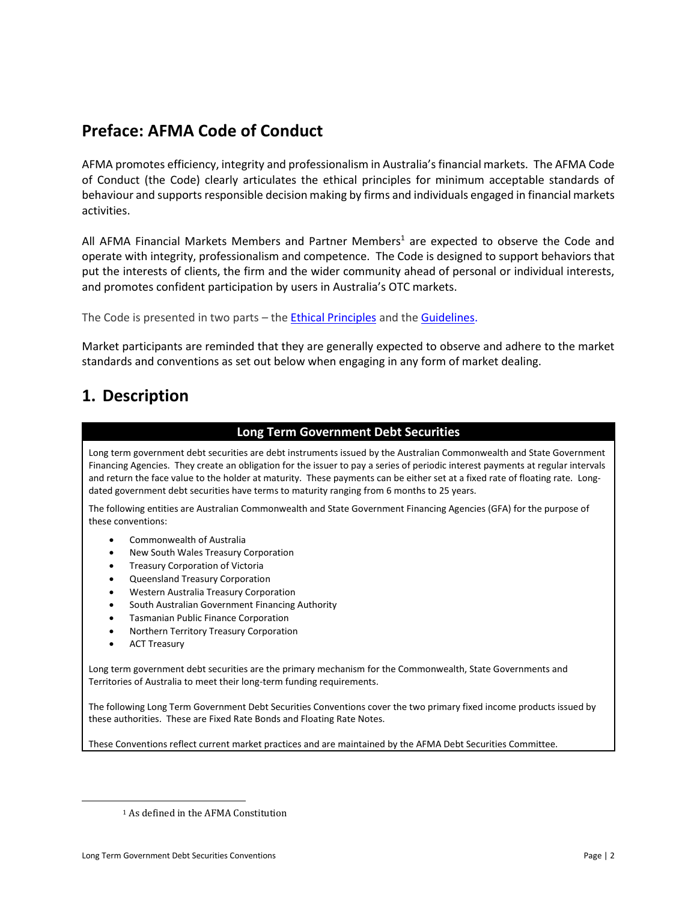# <span id="page-1-0"></span>**Preface: AFMA Code of Conduct**

AFMA promotes efficiency, integrity and professionalism in Australia's financial markets. The AFMA Code of Conduct (the Code) clearly articulates the ethical principles for minimum acceptable standards of behaviour and supports responsible decision making by firms and individuals engaged in financial markets activities.

All AFMA Financial Markets Members and Partner Members<sup>1</sup> are expected to observe the Code and operate with integrity, professionalism and competence. The Code is designed to support behaviors that put the interests of clients, the firm and the wider community ahead of personal or individual interests, and promotes confident participation by users in Australia's OTC markets.

The Code is presented in two parts - the **Ethical Principles** and the **Guidelines**.

Market participants are reminded that they are generally expected to observe and adhere to the market standards and conventions as set out below when engaging in any form of market dealing.

# <span id="page-1-1"></span>**1. Description**

#### **Long Term Government Debt Securities**

Long term government debt securities are debt instruments issued by the Australian Commonwealth and State Government Financing Agencies. They create an obligation for the issuer to pay a series of periodic interest payments at regular intervals and return the face value to the holder at maturity. These payments can be either set at a fixed rate of floating rate. Longdated government debt securities have terms to maturity ranging from 6 months to 25 years.

The following entities are Australian Commonwealth and State Government Financing Agencies (GFA) for the purpose of these conventions:

- Commonwealth of Australia
- New South Wales Treasury Corporation
- Treasury Corporation of Victoria
- Queensland Treasury Corporation
- Western Australia Treasury Corporation
- South Australian Government Financing Authority
- Tasmanian Public Finance Corporation
- Northern Territory Treasury Corporation
- ACT Treasury

Long term government debt securities are the primary mechanism for the Commonwealth, State Governments and Territories of Australia to meet their long-term funding requirements.

The following Long Term Government Debt Securities Conventions cover the two primary fixed income products issued by these authorities. These are Fixed Rate Bonds and Floating Rate Notes.

These Conventions reflect current market practices and are maintained by the AFMA Debt Securities Committee.

<sup>1</sup> As defined in the AFMA Constitution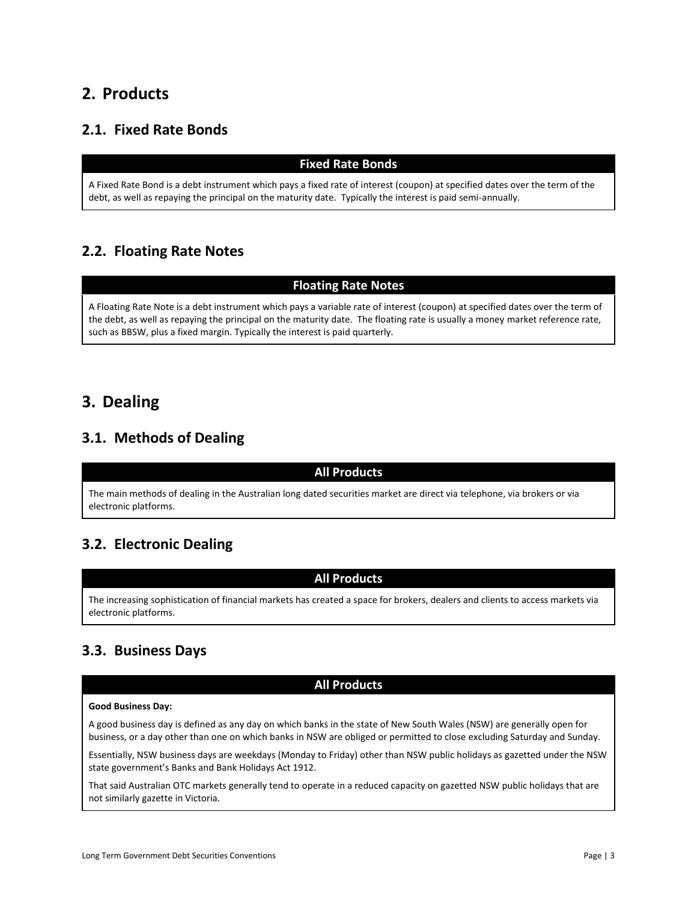## <span id="page-2-0"></span>**2. Products**

### <span id="page-2-1"></span>**2.1. Fixed Rate Bonds**

#### **Fixed Rate Bonds**

A Fixed Rate Bond is a debt instrument which pays a fixed rate of interest (coupon) at specified dates over the term of the debt, as well as repaying the principal on the maturity date. Typically the interest is paid semi-annually.

## <span id="page-2-2"></span>**2.2. Floating Rate Notes**

#### **Floating Rate Notes**

A Floating Rate Note is a debt instrument which pays a variable rate of interest (coupon) at specified dates over the term of the debt, as well as repaying the principal on the maturity date. The floating rate is usually a money market reference rate, such as BBSW, plus a fixed margin. Typically the interest is paid quarterly.

## <span id="page-2-3"></span>**3. Dealing**

### <span id="page-2-4"></span>**3.1. Methods of Dealing**

#### **All Products**

The main methods of dealing in the Australian long dated securities market are direct via telephone, via brokers or via electronic platforms.

## <span id="page-2-5"></span>**3.2. Electronic Dealing**

#### **All Products**

The increasing sophistication of financial markets has created a space for brokers, dealers and clients to access markets via electronic platforms.

### <span id="page-2-6"></span>**3.3. Business Days**

#### **All Products**

#### **Good Business Day:**

A good business day is defined as any day on which banks in the state of New South Wales (NSW) are generally open for business, or a day other than one on which banks in NSW are obliged or permitted to close excluding Saturday and Sunday.

Essentially, NSW business days are weekdays (Monday to Friday) other than NSW public holidays as gazetted under the NSW state government's Banks and Bank Holidays Act 1912.

That said Australian OTC markets generally tend to operate in a reduced capacity on gazetted NSW public holidays that are not similarly gazette in Victoria.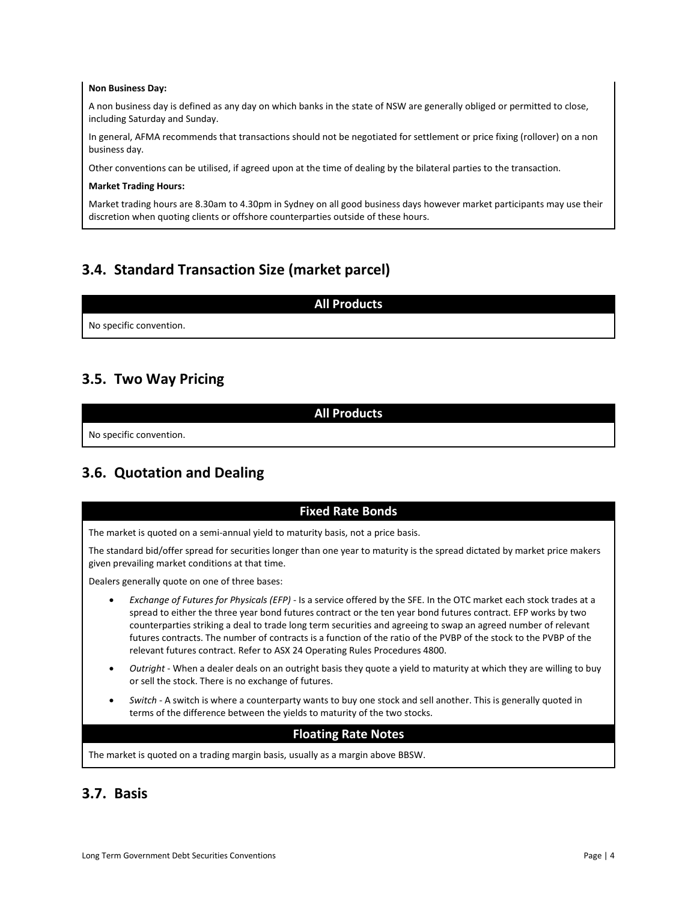#### **Non Business Day:**

A non business day is defined as any day on which banks in the state of NSW are generally obliged or permitted to close, including Saturday and Sunday.

In general, AFMA recommends that transactions should not be negotiated for settlement or price fixing (rollover) on a non business day.

Other conventions can be utilised, if agreed upon at the time of dealing by the bilateral parties to the transaction.

#### **Market Trading Hours:**

Market trading hours are 8.30am to 4.30pm in Sydney on all good business days however market participants may use their discretion when quoting clients or offshore counterparties outside of these hours.

### <span id="page-3-0"></span>**3.4. Standard Transaction Size (market parcel)**

|                         | <b>All Products</b> |
|-------------------------|---------------------|
| No specific convention. |                     |
|                         |                     |

### <span id="page-3-1"></span>**3.5. Two Way Pricing**

**All Products** No specific convention.

### <span id="page-3-2"></span>**3.6. Quotation and Dealing**

#### **Fixed Rate Bonds**

The market is quoted on a semi-annual yield to maturity basis, not a price basis.

The standard bid/offer spread for securities longer than one year to maturity is the spread dictated by market price makers given prevailing market conditions at that time.

Dealers generally quote on one of three bases:

- *Exchange of Futures for Physicals (EFP)* Is a service offered by the SFE. In the OTC market each stock trades at a spread to either the three year bond futures contract or the ten year bond futures contract. EFP works by two counterparties striking a deal to trade long term securities and agreeing to swap an agreed number of relevant futures contracts. The number of contracts is a function of the ratio of the PVBP of the stock to the PVBP of the relevant futures contract. Refer to ASX 24 Operating Rules Procedures 4800.
- *Outright* When a dealer deals on an outright basis they quote a yield to maturity at which they are willing to buy or sell the stock. There is no exchange of futures.
- *Switch* A switch is where a counterparty wants to buy one stock and sell another. This is generally quoted in terms of the difference between the yields to maturity of the two stocks.

#### **Floating Rate Notes**

The market is quoted on a trading margin basis, usually as a margin above BBSW.

### <span id="page-3-3"></span>**3.7. Basis**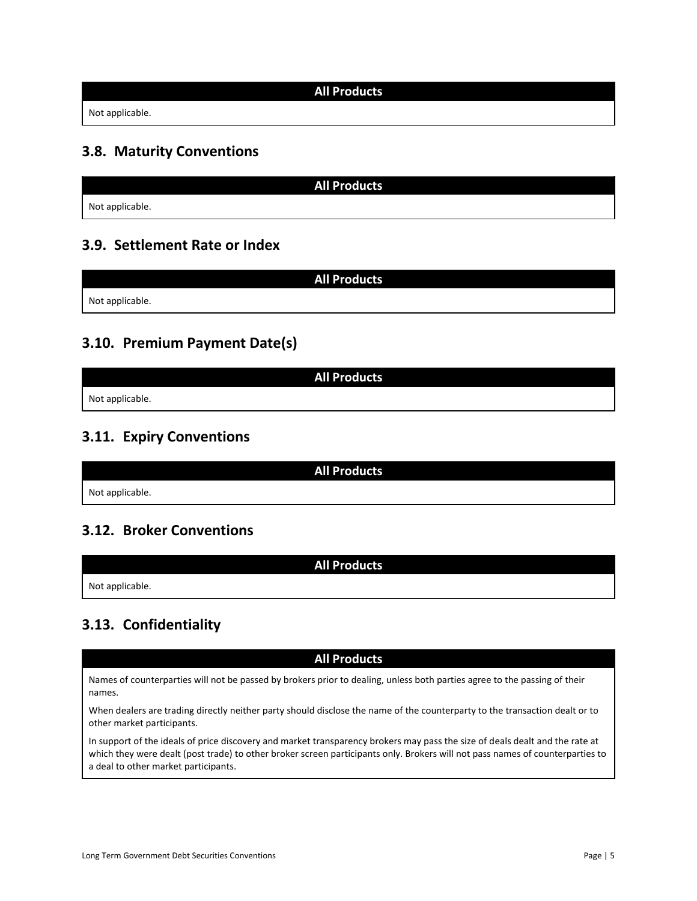#### **All Products**

Not applicable.

### <span id="page-4-0"></span>**3.8. Maturity Conventions**

**All Products** Not applicable.

### <span id="page-4-1"></span>**3.9. Settlement Rate or Index**

**All Products** Not applicable.

### <span id="page-4-2"></span>**3.10. Premium Payment Date(s)**

**All Products** Not applicable.

## <span id="page-4-3"></span>**3.11. Expiry Conventions**

**All Products** Not applicable.

**All Products**

### <span id="page-4-4"></span>**3.12. Broker Conventions**

Not applicable.

## <span id="page-4-5"></span>**3.13. Confidentiality**

**All Products**

Names of counterparties will not be passed by brokers prior to dealing, unless both parties agree to the passing of their names.

When dealers are trading directly neither party should disclose the name of the counterparty to the transaction dealt or to other market participants.

In support of the ideals of price discovery and market transparency brokers may pass the size of deals dealt and the rate at which they were dealt (post trade) to other broker screen participants only. Brokers will not pass names of counterparties to a deal to other market participants.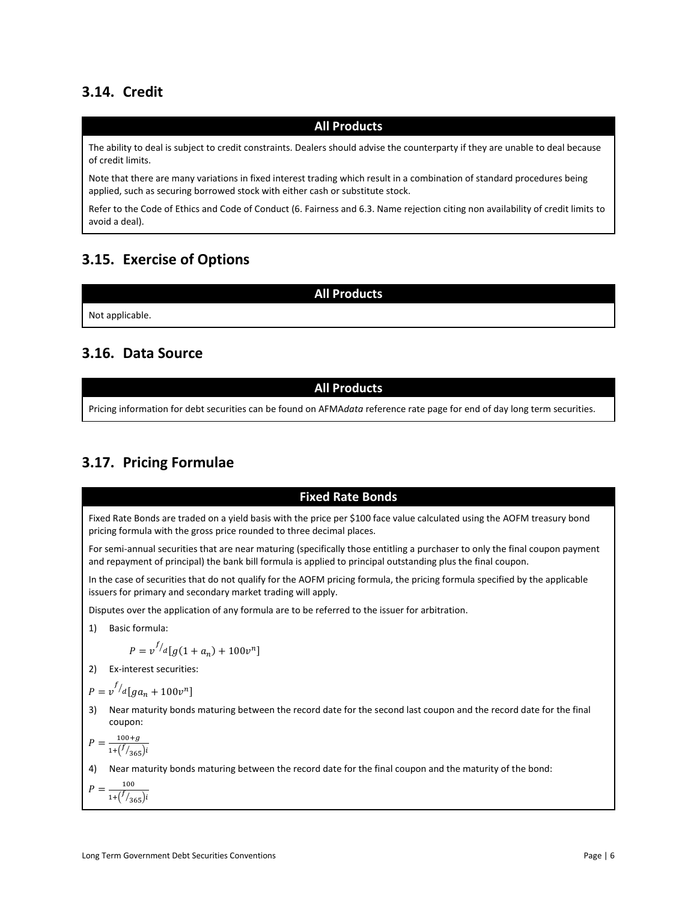### <span id="page-5-0"></span>**3.14. Credit**

#### **All Products**

The ability to deal is subject to credit constraints. Dealers should advise the counterparty if they are unable to deal because of credit limits.

Note that there are many variations in fixed interest trading which result in a combination of standard procedures being applied, such as securing borrowed stock with either cash or substitute stock.

Refer to the Code of Ethics and Code of Conduct (6. Fairness and 6.3. Name rejection citing non availability of credit limits to avoid a deal).

#### <span id="page-5-1"></span>**3.15. Exercise of Options**

**All Products**

Not applicable.

### <span id="page-5-2"></span>**3.16. Data Source**

#### **All Products**

Pricing information for debt securities can be found on AFMA*data* reference rate page for end of day long term securities.

### <span id="page-5-3"></span>**3.17. Pricing Formulae**

#### **Fixed Rate Bonds**

Fixed Rate Bonds are traded on a yield basis with the price per \$100 face value calculated using the AOFM treasury bond pricing formula with the gross price rounded to three decimal places.

For semi-annual securities that are near maturing (specifically those entitling a purchaser to only the final coupon payment and repayment of principal) the bank bill formula is applied to principal outstanding plus the final coupon.

In the case of securities that do not qualify for the AOFM pricing formula, the pricing formula specified by the applicable issuers for primary and secondary market trading will apply.

Disputes over the application of any formula are to be referred to the issuer for arbitration.

1) Basic formula:

$$
P = v^{f/d} [g(1 + a_n) + 100v^n]
$$

2) Ex-interest securities:

$$
P = v^{f/d}[ga_n + 100v^n]
$$

3) Near maturity bonds maturing between the record date for the second last coupon and the record date for the final coupon:

$$
P = \frac{100 + g}{1 + \left(\frac{f}{365}\right)i}
$$

4) Near maturity bonds maturing between the record date for the final coupon and the maturity of the bond:

$$
P = \frac{100}{1 + (\frac{f}{365})i}
$$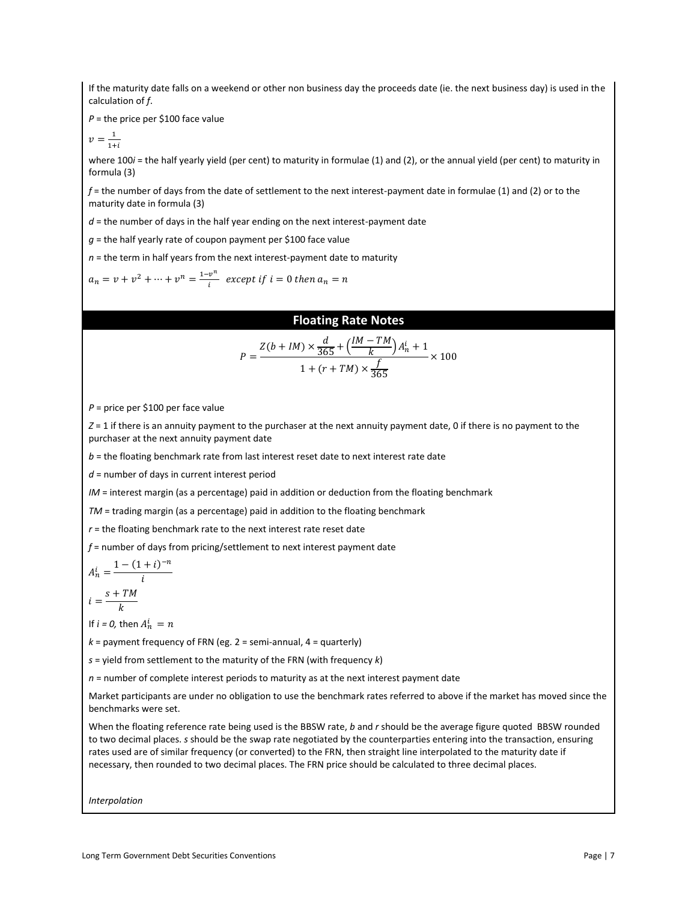If the maturity date falls on a weekend or other non business day the proceeds date (ie. the next business day) is used in the calculation of *f*.

*P* = the price per \$100 face value

$$
v = \frac{1}{1+i}
$$

where 100*i* = the half yearly yield (per cent) to maturity in formulae (1) and (2), or the annual yield (per cent) to maturity in formula (3)

*f* = the number of days from the date of settlement to the next interest-payment date in formulae (1) and (2) or to the maturity date in formula (3)

 $d$  = the number of days in the half year ending on the next interest-payment date

*g* = the half yearly rate of coupon payment per \$100 face value

*n* = the term in half years from the next interest-payment date to maturity

 $a_n = v + v^2 + \dots + v^n = \frac{1 - v^n}{i}$  $\frac{v}{i}$  except if  $i = 0$  then  $a_n = n$ 

#### **Floating Rate Notes**

$$
P = \frac{Z(b+IM) \times \frac{d}{365} + (\frac{IM - TM}{k}) A_n^i + 1}{1 + (r + TM) \times \frac{f}{365}} \times 100
$$

*P* = price per \$100 per face value

*Z* = 1 if there is an annuity payment to the purchaser at the next annuity payment date, 0 if there is no payment to the purchaser at the next annuity payment date

*b* = the floating benchmark rate from last interest reset date to next interest rate date

*d* = number of days in current interest period

*IM* = interest margin (as a percentage) paid in addition or deduction from the floating benchmark

*TM* = trading margin (as a percentage) paid in addition to the floating benchmark

*r* = the floating benchmark rate to the next interest rate reset date

*f* = number of days from pricing/settlement to next interest payment date

$$
A_n^i = \frac{1 - (1 + i)^{-n}}{i}
$$
  
. 
$$
s + TM
$$

$$
i=\frac{\cdots}{k}
$$

If  $i = 0$ , then  $A_n^i = n$ 

 $k =$  payment frequency of FRN (eg. 2 = semi-annual, 4 = quarterly)

*s* = yield from settlement to the maturity of the FRN (with frequency *k*)

*n* = number of complete interest periods to maturity as at the next interest payment date

Market participants are under no obligation to use the benchmark rates referred to above if the market has moved since the benchmarks were set.

When the floating reference rate being used is the BBSW rate, *b* and *r* should be the average figure quoted BBSW rounded to two decimal places. *s* should be the swap rate negotiated by the counterparties entering into the transaction, ensuring rates used are of similar frequency (or converted) to the FRN, then straight line interpolated to the maturity date if necessary, then rounded to two decimal places. The FRN price should be calculated to three decimal places.

*Interpolation*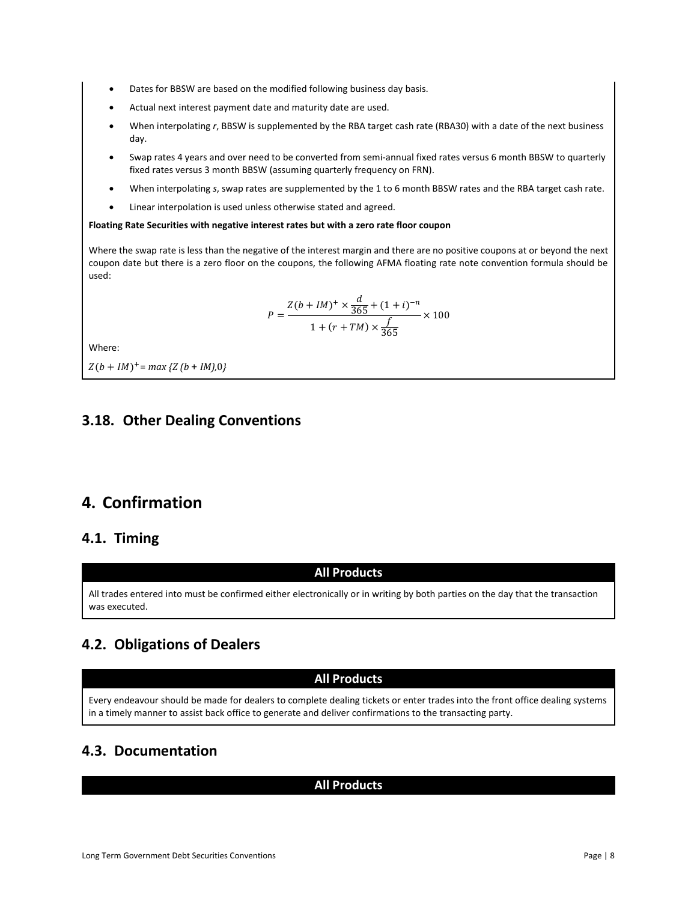- Dates for BBSW are based on the modified following business day basis.
- Actual next interest payment date and maturity date are used.
- When interpolating *r*, BBSW is supplemented by the RBA target cash rate (RBA30) with a date of the next business day.
- Swap rates 4 years and over need to be converted from semi-annual fixed rates versus 6 month BBSW to quarterly fixed rates versus 3 month BBSW (assuming quarterly frequency on FRN).
- When interpolating *s*, swap rates are supplemented by the 1 to 6 month BBSW rates and the RBA target cash rate.
- Linear interpolation is used unless otherwise stated and agreed.

#### **Floating Rate Securities with negative interest rates but with a zero rate floor coupon**

Where the swap rate is less than the negative of the interest margin and there are no positive coupons at or beyond the next coupon date but there is a zero floor on the coupons, the following AFMA floating rate note convention formula should be used:

$$
P = \frac{Z(b+IM)^{+} \times \frac{d}{365} + (1+i)^{-n}}{1 + (r+TM) \times \frac{f}{365}} \times 100
$$

Where:

 $Z(b + IM)^+$  = *max* { $Z(b + IM)$ ,0}

### <span id="page-7-0"></span>**3.18. Other Dealing Conventions**

## <span id="page-7-1"></span>**4. Confirmation**

### <span id="page-7-2"></span>**4.1. Timing**

#### **All Products**

All trades entered into must be confirmed either electronically or in writing by both parties on the day that the transaction was executed.

## <span id="page-7-3"></span>**4.2. Obligations of Dealers**

#### **All Products**

Every endeavour should be made for dealers to complete dealing tickets or enter trades into the front office dealing systems in a timely manner to assist back office to generate and deliver confirmations to the transacting party.

## <span id="page-7-4"></span>**4.3. Documentation**

#### **All Products**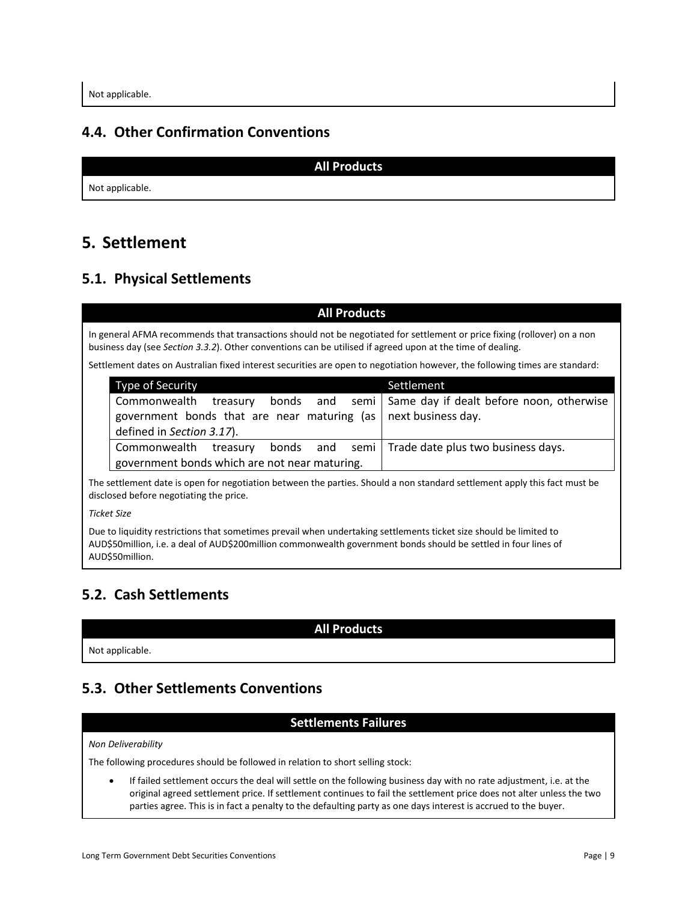### <span id="page-8-0"></span>**4.4. Other Confirmation Conventions**

**All Products**

Not applicable.

# <span id="page-8-1"></span>**5. Settlement**

## <span id="page-8-2"></span>**5.1. Physical Settlements**

#### **All Products**

In general AFMA recommends that transactions should not be negotiated for settlement or price fixing (rollover) on a non business day (see *Section 3.3.2*). Other conventions can be utilised if agreed upon at the time of dealing.

Settlement dates on Australian fixed interest securities are open to negotiation however, the following times are standard:

| Type of Security                                                              | Settlement                                        |
|-------------------------------------------------------------------------------|---------------------------------------------------|
| Commonwealth treasury bonds and semi Same day if dealt before noon, otherwise |                                                   |
| government bonds that are near maturing (as $\vert$ next business day.        |                                                   |
| defined in Section 3.17).                                                     |                                                   |
| Commonwealth treasury                                                         | bonds and semi Trade date plus two business days. |
| government bonds which are not near maturing.                                 |                                                   |

The settlement date is open for negotiation between the parties. Should a non standard settlement apply this fact must be disclosed before negotiating the price.

*Ticket Size*

Due to liquidity restrictions that sometimes prevail when undertaking settlements ticket size should be limited to AUD\$50million, i.e. a deal of AUD\$200million commonwealth government bonds should be settled in four lines of AUD\$50million.

## <span id="page-8-3"></span>**5.2. Cash Settlements**

**All Products**

Not applicable.

## <span id="page-8-4"></span>**5.3. Other Settlements Conventions**

#### **Settlements Failures**

#### *Non Deliverability*

The following procedures should be followed in relation to short selling stock:

• If failed settlement occurs the deal will settle on the following business day with no rate adjustment, i.e. at the original agreed settlement price. If settlement continues to fail the settlement price does not alter unless the two parties agree. This is in fact a penalty to the defaulting party as one days interest is accrued to the buyer.